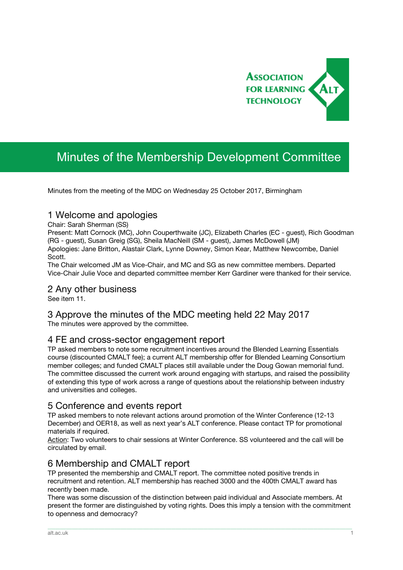

# Minutes of the Membership Development Committee

Minutes from the meeting of the MDC on Wednesday 25 October 2017, Birmingham

# 1 Welcome and apologies

Chair: Sarah Sherman (SS)

Present: Matt Cornock (MC), John Couperthwaite (JC), Elizabeth Charles (EC - guest), Rich Goodman (RG - guest), Susan Greig (SG), Sheila MacNeill (SM - guest), James McDowell (JM) Apologies: Jane Britton, Alastair Clark, Lynne Downey, Simon Kear, Matthew Newcombe, Daniel Scott.

The Chair welcomed JM as Vice-Chair, and MC and SG as new committee members. Departed Vice-Chair Julie Voce and departed committee member Kerr Gardiner were thanked for their service.

### 2 Any other business

See item 11.

#### 3 Approve the minutes of the MDC meeting held 22 May 2017 The minutes were approved by the committee.

# 4 FE and cross-sector engagement report

TP asked members to note some recruitment incentives around the Blended Learning Essentials course (discounted CMALT fee); a current ALT membership offer for Blended Learning Consortium member colleges; and funded CMALT places still available under the Doug Gowan memorial fund. The committee discussed the current work around engaging with startups, and raised the possibility of extending this type of work across a range of questions about the relationship between industry and universities and colleges.

### 5 Conference and events report

TP asked members to note relevant actions around promotion of the Winter Conference (12-13 December) and OER18, as well as next year's ALT conference. Please contact TP for promotional materials if required.

Action: Two volunteers to chair sessions at Winter Conference. SS volunteered and the call will be circulated by email.

# 6 Membership and CMALT report

TP presented the membership and CMALT report. The committee noted positive trends in recruitment and retention. ALT membership has reached 3000 and the 400th CMALT award has recently been made.

There was some discussion of the distinction between paid individual and Associate members. At present the former are distinguished by voting rights. Does this imply a tension with the commitment to openness and democracy?

\_\_\_\_\_\_\_\_\_\_\_\_\_\_\_\_\_\_\_\_\_\_\_\_\_\_\_\_\_\_\_\_\_\_\_\_\_\_\_\_\_\_\_\_\_\_\_\_\_\_\_\_\_\_\_\_\_\_\_\_\_\_\_\_\_\_\_\_\_\_\_\_\_\_\_\_\_\_\_\_\_\_\_\_\_\_\_\_\_\_\_\_\_\_\_\_\_\_\_\_\_\_\_\_\_\_\_\_\_\_\_\_\_\_\_\_\_\_\_\_\_\_\_\_\_\_\_\_\_\_\_\_\_\_\_\_\_\_\_\_\_\_\_\_\_\_\_\_\_\_